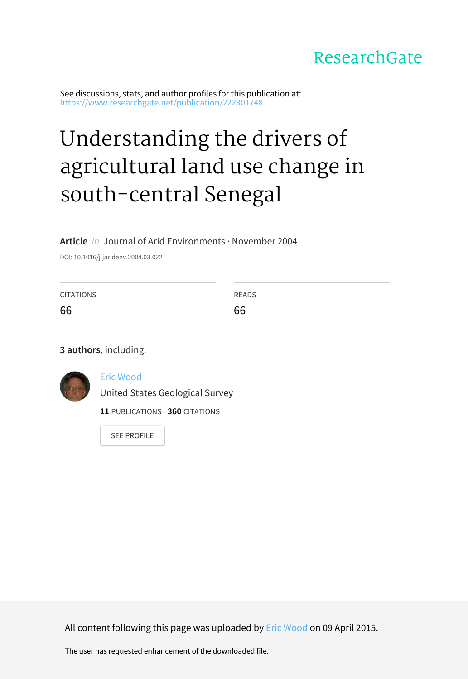## ResearchGate

See discussions, stats, and author profiles for this publication at: [https://www.researchgate.net/publication/222301748](https://www.researchgate.net/publication/222301748_Understanding_the_drivers_of_agricultural_land_use_change_in_south-central_Senegal?enrichId=rgreq-3d5024cea5f9cea4b68298a6b268feea-XXX&enrichSource=Y292ZXJQYWdlOzIyMjMwMTc0ODtBUzoyMTY0NDk4MTA0NzI5NjVAMTQyODYxNzA2NDE0Ng%3D%3D&el=1_x_2&_esc=publicationCoverPdf)

# [Understanding](https://www.researchgate.net/publication/222301748_Understanding_the_drivers_of_agricultural_land_use_change_in_south-central_Senegal?enrichId=rgreq-3d5024cea5f9cea4b68298a6b268feea-XXX&enrichSource=Y292ZXJQYWdlOzIyMjMwMTc0ODtBUzoyMTY0NDk4MTA0NzI5NjVAMTQyODYxNzA2NDE0Ng%3D%3D&el=1_x_3&_esc=publicationCoverPdf) the drivers of agricultural land use change in south-central Senegal

**Article** in Journal of Arid Environments · November 2004

DOI: 10.1016/j.jaridenv.2004.03.022

CITATIONS 66 READS 66

#### **3 authors**, including:



#### Eric [Wood](https://www.researchgate.net/profile/Eric_Wood4?enrichId=rgreq-3d5024cea5f9cea4b68298a6b268feea-XXX&enrichSource=Y292ZXJQYWdlOzIyMjMwMTc0ODtBUzoyMTY0NDk4MTA0NzI5NjVAMTQyODYxNzA2NDE0Ng%3D%3D&el=1_x_5&_esc=publicationCoverPdf)

United States [Geological](https://www.researchgate.net/institution/United_States_Geological_Survey?enrichId=rgreq-3d5024cea5f9cea4b68298a6b268feea-XXX&enrichSource=Y292ZXJQYWdlOzIyMjMwMTc0ODtBUzoyMTY0NDk4MTA0NzI5NjVAMTQyODYxNzA2NDE0Ng%3D%3D&el=1_x_6&_esc=publicationCoverPdf) Survey

**11** PUBLICATIONS **360** CITATIONS

SEE [PROFILE](https://www.researchgate.net/profile/Eric_Wood4?enrichId=rgreq-3d5024cea5f9cea4b68298a6b268feea-XXX&enrichSource=Y292ZXJQYWdlOzIyMjMwMTc0ODtBUzoyMTY0NDk4MTA0NzI5NjVAMTQyODYxNzA2NDE0Ng%3D%3D&el=1_x_7&_esc=publicationCoverPdf)

All content following this page was uploaded by **Eric [Wood](https://www.researchgate.net/profile/Eric_Wood4?enrichId=rgreq-3d5024cea5f9cea4b68298a6b268feea-XXX&enrichSource=Y292ZXJQYWdlOzIyMjMwMTc0ODtBUzoyMTY0NDk4MTA0NzI5NjVAMTQyODYxNzA2NDE0Ng%3D%3D&el=1_x_10&_esc=publicationCoverPdf) on 09 April 2015.**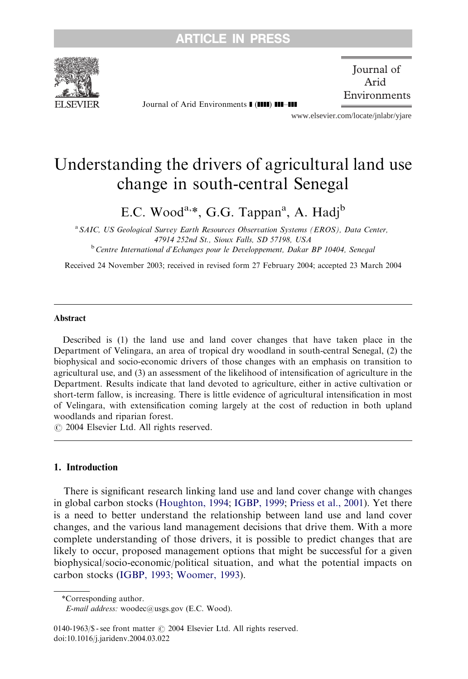

Journal of Arid Environments  $\blacksquare$  ( $\blacksquare\blacksquare$ )  $\blacksquare\blacksquare\blacksquare\blacksquare$ 

 Journal of Arid Environments

www.elsevier.com/locate/jnlabr/yjare

## Understanding the drivers of agricultural land use change in south-central Senegal

E.C. Wood<sup>a,\*</sup>, G.G. Tappan<sup>a</sup>, A. Hadj<sup>b</sup>

<sup>a</sup> SAIC, US Geological Survey Earth Resources Observation Systems (EROS), Data Center, 47914 252nd St., Sioux Falls, SD 57198, USA <sup>b</sup> Centre International d'Echanges pour le Developpement, Dakar BP 10404, Senegal

Received 24 November 2003; received in revised form 27 February 2004; accepted 23 March 2004

#### Abstract

Described is (1) the land use and land cover changes that have taken place in the Department of Velingara, an area of tropical dry woodland in south-central Senegal, (2) the biophysical and socio-economic drivers of those changes with an emphasis on transition to agricultural use, and (3) an assessment of the likelihood of intensification of agriculture in the Department. Results indicate that land devoted to agriculture, either in active cultivation or short-term fallow, is increasing. There is little evidence of agricultural intensification in most of Velingara, with extensification coming largely at the cost of reduction in both upland woodlands and riparian forest.

 $\odot$  2004 Elsevier Ltd. All rights reserved.

#### 1. Introduction

There is significant research linking land use and land cover change with changes in global carbon stocks [\(Houghton, 1994;](#page-17-0) [IGBP, 1999;](#page-17-0) [Priess et al., 2001\)](#page-17-0). Yet there is a need to better understand the relationship between land use and land cover changes, and the various land management decisions that drive them. With a more complete understanding of those drivers, it is possible to predict changes that are likely to occur, proposed management options that might be successful for a given biophysical/socio-economic/political situation, and what the potential impacts on carbon stocks ([IGBP, 1993;](#page-17-0) [Woomer, 1993\)](#page-18-0).

<sup>\*</sup>Corresponding author.

E-mail address: woodec@usgs.gov (E.C. Wood).

<sup>0140-1963/\$ -</sup> see front matter  $\odot$  2004 Elsevier Ltd. All rights reserved. doi:10.1016/j.jaridenv.2004.03.022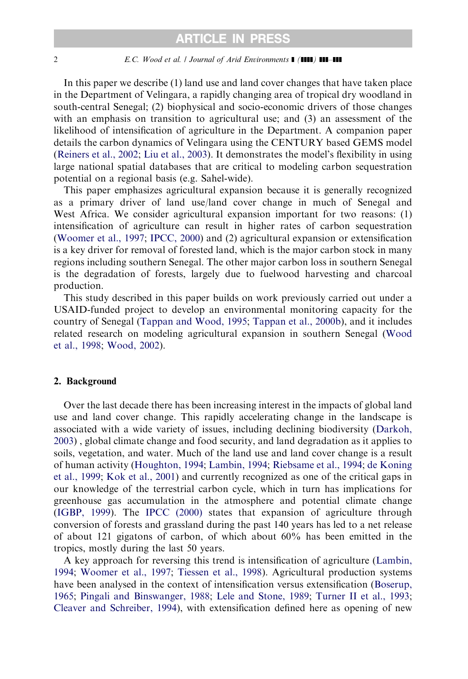#### 2 E.C. Wood et al. / Journal of Arid Environments  $\blacksquare$  ( $\blacksquare\blacksquare$ )  $\blacksquare\blacksquare\blacksquare\blacksquare$

In this paper we describe (1) land use and land cover changes that have taken place in the Department of Velingara, a rapidly changing area of tropical dry woodland in south-central Senegal; (2) biophysical and socio-economic drivers of those changes with an emphasis on transition to agricultural use; and (3) an assessment of the likelihood of intensification of agriculture in the Department. A companion paper details the carbon dynamics of Velingara using the CENTURY based GEMS model [\(Reiners et al., 2002](#page-17-0); [Liu et al., 2003](#page-17-0)). It demonstrates the model's flexibility in using large national spatial databases that are critical to modeling carbon sequestration potential on a regional basis (e.g. Sahel-wide).

This paper emphasizes agricultural expansion because it is generally recognized as a primary driver of land use/land cover change in much of Senegal and West Africa. We consider agricultural expansion important for two reasons: (1) intensification of agriculture can result in higher rates of carbon sequestration [\(Woomer et al., 1997](#page-18-0); [IPCC, 2000](#page-17-0)) and (2) agricultural expansion or extensification is a key driver for removal of forested land, which is the major carbon stock in many regions including southern Senegal. The other major carbon loss in southern Senegal is the degradation of forests, largely due to fuelwood harvesting and charcoal production.

This study described in this paper builds on work previously carried out under a USAID-funded project to develop an environmental monitoring capacity for the country of Senegal [\(Tappan and Wood, 1995](#page-18-0); [Tappan et al., 2000b](#page-18-0)), and it includes related research on modeling agricultural expansion in southern Senegal [\(Wood](#page-18-0) [et al., 1998](#page-18-0); [Wood, 2002\)](#page-18-0).

#### 2. Background

Over the last decade there has been increasing interest in the impacts of global land use and land cover change. This rapidly accelerating change in the landscape is associated with a wide variety of issues, including declining biodiversity [\(Darkoh,](#page-16-0) [2003\)](#page-16-0) , global climate change and food security, and land degradation as it applies to soils, vegetation, and water. Much of the land use and land cover change is a result of human activity [\(Houghton, 1994;](#page-17-0) [Lambin, 1994;](#page-17-0) [Riebsame et al., 1994](#page-17-0); [de Koning](#page-16-0) [et al., 1999;](#page-16-0) [Kok et al., 2001\)](#page-17-0) and currently recognized as one of the critical gaps in our knowledge of the terrestrial carbon cycle, which in turn has implications for greenhouse gas accumulation in the atmosphere and potential climate change [\(IGBP, 1999\)](#page-17-0). The [IPCC \(2000\)](#page-17-0) states that expansion of agriculture through conversion of forests and grassland during the past 140 years has led to a net release of about 121 gigatons of carbon, of which about 60% has been emitted in the tropics, mostly during the last 50 years.

A key approach for reversing this trend is intensification of agriculture [\(Lambin,](#page-17-0) [1994;](#page-17-0) [Woomer et al., 1997;](#page-18-0) [Tiessen et al., 1998](#page-18-0)). Agricultural production systems have been analysed in the context of intensification versus extensification ([Boserup,](#page-16-0) [1965;](#page-16-0) [Pingali and Binswanger, 1988;](#page-17-0) [Lele and Stone, 1989](#page-17-0); [Turner II et al., 1993;](#page-18-0) [Cleaver and Schreiber, 1994\)](#page-16-0), with extensification defined here as opening of new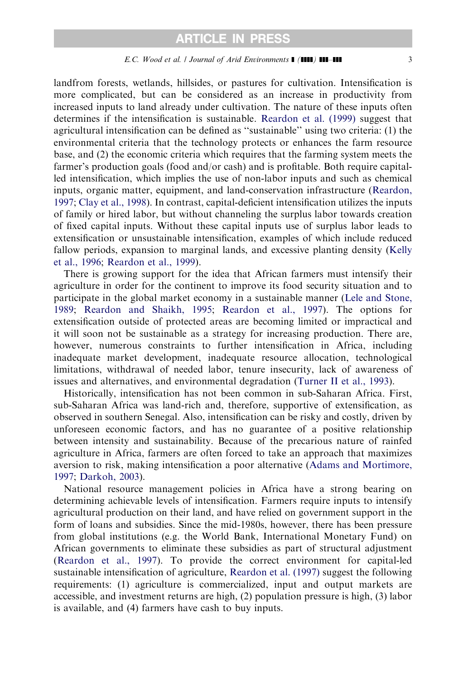#### E.C. Wood et al. *| Journal of Arid Environments*  $\blacksquare$  ( $\blacksquare$ )  $\blacksquare$  $\blacksquare$ ] 3

landfrom forests, wetlands, hillsides, or pastures for cultivation. Intensification is more complicated, but can be considered as an increase in productivity from increased inputs to land already under cultivation. The nature of these inputs often determines if the intensification is sustainable. [Reardon et al. \(1999\)](#page-17-0) suggest that agricultural intensification can be defined as ''sustainable'' using two criteria: (1) the environmental criteria that the technology protects or enhances the farm resource base, and (2) the economic criteria which requires that the farming system meets the farmer's production goals (food and/or cash) and is profitable. Both require capitalled intensification, which implies the use of non-labor inputs and such as chemical inputs, organic matter, equipment, and land-conservation infrastructure [\(Reardon,](#page-17-0) [1997;](#page-17-0) [Clay et al., 1998](#page-16-0)). In contrast, capital-deficient intensification utilizes the inputs

of family or hired labor, but without channeling the surplus labor towards creation of fixed capital inputs. Without these capital inputs use of surplus labor leads to extensification or unsustainable intensification, examples of which include reduced fallow periods, expansion to marginal lands, and excessive planting density [\(Kelly](#page-17-0) [et al., 1996](#page-17-0); [Reardon et al., 1999](#page-17-0)).

There is growing support for the idea that African farmers must intensify their agriculture in order for the continent to improve its food security situation and to participate in the global market economy in a sustainable manner ([Lele and Stone,](#page-17-0) [1989;](#page-17-0) [Reardon and Shaikh, 1995](#page-17-0); [Reardon et al., 1997\)](#page-17-0). The options for extensification outside of protected areas are becoming limited or impractical and it will soon not be sustainable as a strategy for increasing production. There are, however, numerous constraints to further intensification in Africa, including inadequate market development, inadequate resource allocation, technological limitations, withdrawal of needed labor, tenure insecurity, lack of awareness of issues and alternatives, and environmental degradation ([Turner II et al., 1993](#page-18-0)).

Historically, intensification has not been common in sub-Saharan Africa. First, sub-Saharan Africa was land-rich and, therefore, supportive of extensification, as observed in southern Senegal. Also, intensification can be risky and costly, driven by unforeseen economic factors, and has no guarantee of a positive relationship between intensity and sustainability. Because of the precarious nature of rainfed agriculture in Africa, farmers are often forced to take an approach that maximizes aversion to risk, making intensification a poor alternative ([Adams and Mortimore,](#page-16-0) [1997;](#page-16-0) [Darkoh, 2003](#page-16-0)).

National resource management policies in Africa have a strong bearing on determining achievable levels of intensification. Farmers require inputs to intensify agricultural production on their land, and have relied on government support in the form of loans and subsidies. Since the mid-1980s, however, there has been pressure from global institutions (e.g. the World Bank, International Monetary Fund) on African governments to eliminate these subsidies as part of structural adjustment [\(Reardon et al., 1997](#page-17-0)). To provide the correct environment for capital-led sustainable intensification of agriculture, [Reardon et al. \(1997\)](#page-17-0) suggest the following requirements: (1) agriculture is commercialized, input and output markets are accessible, and investment returns are high, (2) population pressure is high, (3) labor is available, and (4) farmers have cash to buy inputs.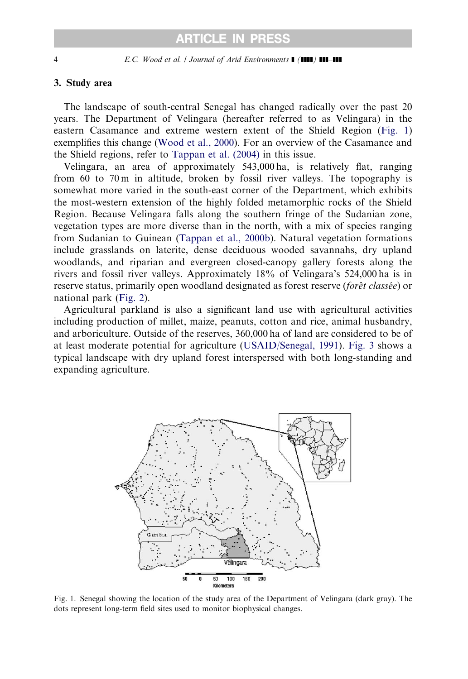#### 3. Study area

The landscape of south-central Senegal has changed radically over the past 20 years. The Department of Velingara (hereafter referred to as Velingara) in the eastern Casamance and extreme western extent of the Shield Region (Fig. 1) exemplifies this change ([Wood et al., 2000](#page-18-0)). For an overview of the Casamance and the Shield regions, refer to [Tappan et al. \(2004\)](#page-18-0) in this issue.

Velingara, an area of approximately 543,000 ha, is relatively flat, ranging from 60 to 70 m in altitude, broken by fossil river valleys. The topography is somewhat more varied in the south-east corner of the Department, which exhibits the most-western extension of the highly folded metamorphic rocks of the Shield Region. Because Velingara falls along the southern fringe of the Sudanian zone, vegetation types are more diverse than in the north, with a mix of species ranging from Sudanian to Guinean [\(Tappan et al., 2000b](#page-18-0)). Natural vegetation formations include grasslands on laterite, dense deciduous wooded savannahs, dry upland woodlands, and riparian and evergreen closed-canopy gallery forests along the rivers and fossil river valleys. Approximately 18% of Velingara's 524,000 ha is in reserve status, primarily open woodland designated as forest reserve (for et classée) or national park ([Fig. 2](#page-5-0)).

Agricultural parkland is also a significant land use with agricultural activities including production of millet, maize, peanuts, cotton and rice, animal husbandry, and arboriculture. Outside of the reserves, 360,000 ha of land are considered to be of at least moderate potential for agriculture [\(USAID/Senegal, 1991\)](#page-18-0). [Fig. 3](#page-5-0) shows a typical landscape with dry upland forest interspersed with both long-standing and expanding agriculture.



Fig. 1. Senegal showing the location of the study area of the Department of Velingara (dark gray). The dots represent long-term field sites used to monitor biophysical changes.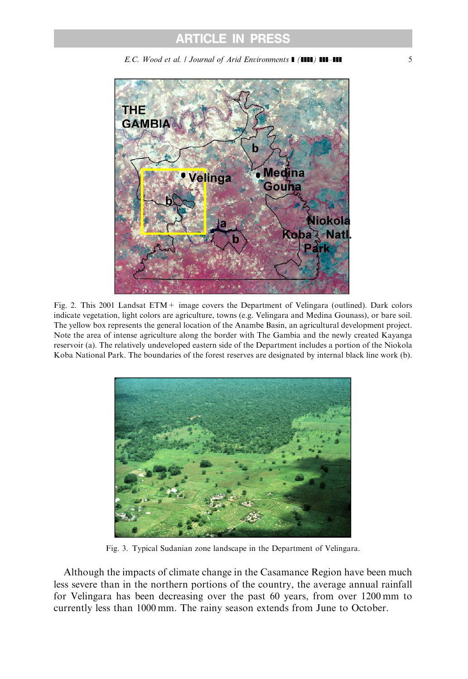E.C. Wood et al. *| Journal of Arid Environments*  $\blacksquare$  ( $\blacksquare$ )  $\blacksquare$  $\blacksquare$ ] 5

<span id="page-5-0"></span>

Fig. 2. This 2001 Landsat ETM+ image covers the Department of Velingara (outlined). Dark colors indicate vegetation, light colors are agriculture, towns (e.g. Velingara and Medina Gounass), or bare soil. The yellow box represents the general location of the Anambe Basin, an agricultural development project. Note the area of intense agriculture along the border with The Gambia and the newly created Kayanga reservoir (a). The relatively undeveloped eastern side of the Department includes a portion of the Niokola Koba National Park. The boundaries of the forest reserves are designated by internal black line work (b).



Fig. 3. Typical Sudanian zone landscape in the Department of Velingara.

Although the impacts of climate change in the Casamance Region have been much less severe than in the northern portions of the country, the average annual rainfall for Velingara has been decreasing over the past 60 years, from over 1200 mm to currently less than 1000 mm. The rainy season extends from June to October.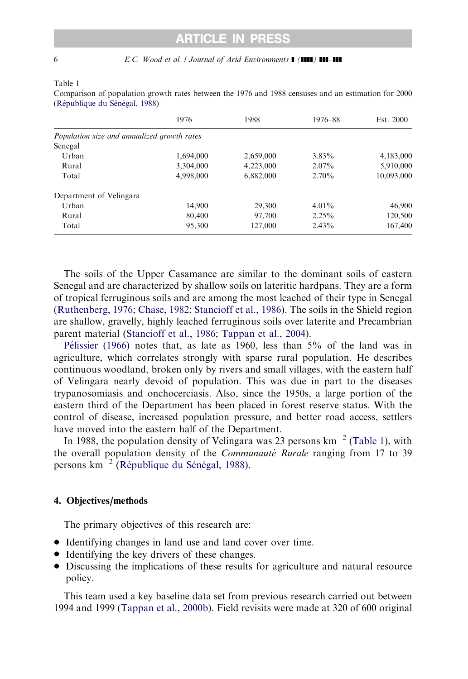6 E.C. Wood et al. *| Journal of Arid Environments*  $\blacksquare$  ( $\blacksquare$ )  $\blacksquare$ 

Table 1

Comparison of population growth rates between the 1976 and 1988 censuses and an estimation for 2000 (République du Sé[n](#page-17-0)é[gal, 1988](#page-17-0))

|                                             | 1976      | 1988      | $1976 - 88$ | Est. 2000  |
|---------------------------------------------|-----------|-----------|-------------|------------|
| Population size and annualized growth rates |           |           |             |            |
| Senegal                                     |           |           |             |            |
| Urban                                       | 1,694,000 | 2,659,000 | $3.83\%$    | 4,183,000  |
| Rural                                       | 3,304,000 | 4,223,000 | $2.07\%$    | 5,910,000  |
| Total                                       | 4,998,000 | 6,882,000 | 2.70%       | 10,093,000 |
| Department of Velingara                     |           |           |             |            |
| Urban                                       | 14,900    | 29,300    | $4.01\%$    | 46,900     |
| Rural                                       | 80,400    | 97,700    | $2.25\%$    | 120,500    |
| Total                                       | 95,300    | 127,000   | $2.43\%$    | 167,400    |

The soils of the Upper Casamance are similar to the dominant soils of eastern Senegal and are characterized by shallow soils on lateritic hardpans. They are a form of tropical ferruginous soils and are among the most leached of their type in Senegal [\(Ruthenberg, 1976;](#page-17-0) [Chase, 1982](#page-16-0); [Stancioff et al., 1986](#page-18-0)). The soils in the Shield region are shallow, gravelly, highly leached ferruginous soils over laterite and Precambrian parent material [\(Stancioff et al., 1986;](#page-18-0) [Tappan et al., 2004\)](#page-18-0).

Pélissier (1966) notes that, as late as 1960, less than  $5\%$  of the land was in agriculture, which correlates strongly with sparse rural population. He describes continuous woodland, broken only by rivers and small villages, with the eastern half of Velingara nearly devoid of population. This was due in part to the diseases trypanosomiasis and onchocerciasis. Also, since the 1950s, a large portion of the eastern third of the Department has been placed in forest reserve status. With the control of disease, increased population pressure, and better road access, settlers have moved into the eastern half of the Department.

In 1988, the population density of Velingara was 23 persons  $km^{-2}$  (Table 1), with the overall population density of the *Communauté Rurale* ranging from 17 to 39 persons  $km^{-2}$  ([R](#page-17-0)é[publique du S](#page-17-0)énégal, 1988).

#### 4. Objectives/methods

The primary objectives of this research are:

- Identifying changes in land use and land cover over time.
- $\bullet$  Identifying the key drivers of these changes.
- Discussing the implications of these results for agriculture and natural resource policy.

This team used a key baseline data set from previous research carried out between 1994 and 1999 ([Tappan et al., 2000b](#page-18-0)). Field revisits were made at 320 of 600 original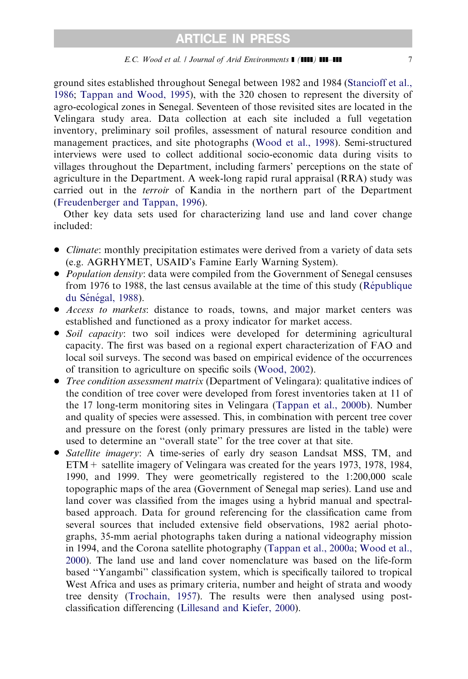#### E.C. Wood et al. *| Journal of Arid Environments*  $\blacksquare$  ( $\blacksquare$ )  $\blacksquare$

ground sites established throughout Senegal between 1982 and 1984 ([Stancioff et al.,](#page-18-0) [1986;](#page-18-0) [Tappan and Wood, 1995\)](#page-18-0), with the 320 chosen to represent the diversity of agro-ecological zones in Senegal. Seventeen of those revisited sites are located in the Velingara study area. Data collection at each site included a full vegetation inventory, preliminary soil profiles, assessment of natural resource condition and management practices, and site photographs ([Wood et al., 1998\)](#page-18-0). Semi-structured interviews were used to collect additional socio-economic data during visits to villages throughout the Department, including farmers' perceptions on the state of agriculture in the Department. A week-long rapid rural appraisal (RRA) study was carried out in the terroir of Kandia in the northern part of the Department [\(Freudenberger and Tappan, 1996\)](#page-16-0).

Other key data sets used for characterizing land use and land cover change included:

- Climate: monthly precipitation estimates were derived from a variety of data sets (e.g. AGRHYMET, USAID's Famine Early Warning System).
- Population density: data were compiled from the Government of Senegal censuses from 1976 to 1988, the last census available at the time of this study (République du Séné[gal, 1988](#page-17-0)).
- Access to markets: distance to roads, towns, and major market centers was established and functioned as a proxy indicator for market access.
- Soil capacity: two soil indices were developed for determining agricultural capacity. The first was based on a regional expert characterization of FAO and local soil surveys. The second was based on empirical evidence of the occurrences of transition to agriculture on specific soils ([Wood, 2002](#page-18-0)).
- *Tree condition assessment matrix* (Department of Velingara): qualitative indices of the condition of tree cover were developed from forest inventories taken at 11 of the 17 long-term monitoring sites in Velingara [\(Tappan et al., 2000b\)](#page-18-0). Number and quality of species were assessed. This, in combination with percent tree cover and pressure on the forest (only primary pressures are listed in the table) were used to determine an ''overall state'' for the tree cover at that site.
- Satellite imagery: A time-series of early dry season Landsat MSS, TM, and ETM+ satellite imagery of Velingara was created for the years 1973, 1978, 1984, 1990, and 1999. They were geometrically registered to the 1:200,000 scale topographic maps of the area (Government of Senegal map series). Land use and land cover was classified from the images using a hybrid manual and spectralbased approach. Data for ground referencing for the classification came from several sources that included extensive field observations, 1982 aerial photographs, 35-mm aerial photographs taken during a national videography mission in 1994, and the Corona satellite photography ([Tappan et al., 2000a;](#page-18-0) [Wood et al.,](#page-18-0) [2000\)](#page-18-0). The land use and land cover nomenclature was based on the life-form based ''Yangambi'' classification system, which is specifically tailored to tropical West Africa and uses as primary criteria, number and height of strata and woody tree density [\(Trochain, 1957\)](#page-18-0). The results were then analysed using postclassification differencing ([Lillesand and Kiefer, 2000](#page-17-0)).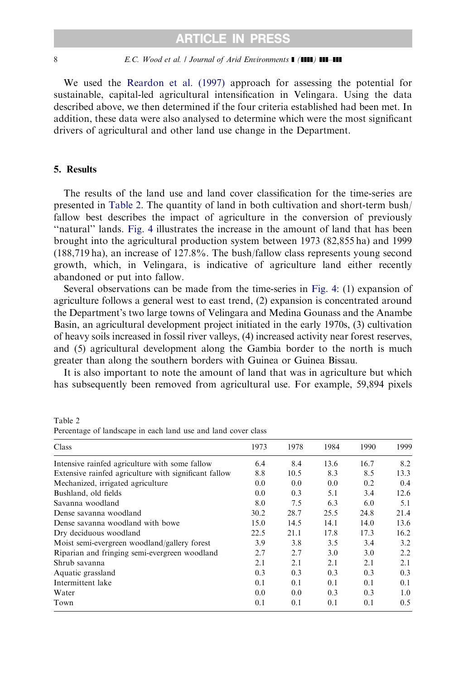8 E.C. Wood et al. *| Journal of Arid Environments*  $\blacksquare$  ( $\blacksquare$ )  $\blacksquare$ 

We used the [Reardon et al. \(1997\)](#page-17-0) approach for assessing the potential for sustainable, capital-led agricultural intensification in Velingara. Using the data described above, we then determined if the four criteria established had been met. In addition, these data were also analysed to determine which were the most significant drivers of agricultural and other land use change in the Department.

#### 5. Results

The results of the land use and land cover classification for the time-series are presented in Table 2. The quantity of land in both cultivation and short-term bush/ fallow best describes the impact of agriculture in the conversion of previously ''natural'' lands. [Fig. 4](#page-9-0) illustrates the increase in the amount of land that has been brought into the agricultural production system between 1973 (82,855 ha) and 1999 (188,719 ha), an increase of 127.8%. The bush/fallow class represents young second growth, which, in Velingara, is indicative of agriculture land either recently abandoned or put into fallow.

Several observations can be made from the time-series in [Fig. 4:](#page-9-0) (1) expansion of agriculture follows a general west to east trend, (2) expansion is concentrated around the Department's two large towns of Velingara and Medina Gounass and the Anambe Basin, an agricultural development project initiated in the early 1970s, (3) cultivation of heavy soils increased in fossil river valleys, (4) increased activity near forest reserves, and (5) agricultural development along the Gambia border to the north is much greater than along the southern borders with Guinea or Guinea Bissau.

It is also important to note the amount of land that was in agriculture but which has subsequently been removed from agricultural use. For example, 59,894 pixels

| Percentage of landscape in each land use and land cover class |      |      |      |      |      |  |  |  |
|---------------------------------------------------------------|------|------|------|------|------|--|--|--|
| Class                                                         | 1973 | 1978 | 1984 | 1990 | 1999 |  |  |  |
| Intensive rainfed agriculture with some fallow                | 6.4  | 8.4  | 13.6 | 16.7 | 8.2  |  |  |  |
| Extensive rainfed agriculture with significant fallow         | 8.8  | 10.5 | 8.3  | 8.5  | 13.3 |  |  |  |
| Mechanized, irrigated agriculture                             | 0.0  | 0.0  | 0.0  | 0.2  | 0.4  |  |  |  |
| Bushland, old fields                                          | 0.0  | 0.3  | 5.1  | 3.4  | 12.6 |  |  |  |
| Savanna woodland                                              | 8.0  | 7.5  | 6.3  | 6.0  | 5.1  |  |  |  |
| Dense savanna woodland                                        | 30.2 | 28.7 | 25.5 | 24.8 | 21.4 |  |  |  |
| Dense savanna woodland with bowe                              | 15.0 | 14.5 | 14.1 | 14.0 | 13.6 |  |  |  |
| Dry deciduous woodland                                        | 22.5 | 21.1 | 17.8 | 17.3 | 16.2 |  |  |  |
| Moist semi-evergreen woodland/gallery forest                  | 3.9  | 3.8  | 3.5  | 3.4  | 3.2  |  |  |  |
| Riparian and fringing semi-evergreen woodland                 | 2.7  | 2.7  | 3.0  | 3.0  | 2.2  |  |  |  |
| Shrub savanna                                                 | 2.1  | 2.1  | 2.1  | 2.1  | 2.1  |  |  |  |
| Aquatic grassland                                             | 0.3  | 0.3  | 0.3  | 0.3  | 0.3  |  |  |  |
| Intermittent lake                                             | 0.1  | 0.1  | 0.1  | 0.1  | 0.1  |  |  |  |
| Water                                                         | 0.0  | 0.0  | 0.3  | 0.3  | 1.0  |  |  |  |
| Town                                                          | 0.1  | 0.1  | 0.1  | 0.1  | 0.5  |  |  |  |

Table 2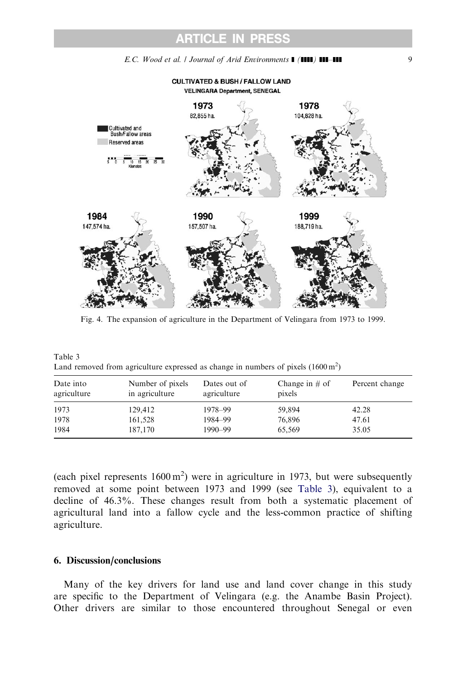E.C. Wood et al. / Journal of Arid Environments  $\blacksquare$  ( $\blacksquare\blacksquare$ )  $\blacksquare\blacksquare\blacksquare\blacksquare$ 

<span id="page-9-0"></span>

Fig. 4. The expansion of agriculture in the Department of Velingara from 1973 to 1999.

Table 3 Land removed from agriculture expressed as change in numbers of pixels  $(1600 \text{ m}^2)$ 

| Date into<br>agriculture | Number of pixels<br>in agriculture | Dates out of<br>agriculture | Change in $#$ of<br>pixels | Percent change |
|--------------------------|------------------------------------|-----------------------------|----------------------------|----------------|
| 1973                     | 129.412                            | 1978–99                     | 59.894                     | 42.28          |
| 1978                     | 161,528                            | 1984–99                     | 76,896                     | 47.61          |
| 1984                     | 187,170                            | 1990–99                     | 65.569                     | 35.05          |

(each pixel represents  $1600 \text{ m}^2$ ) were in agriculture in 1973, but were subsequently removed at some point between 1973 and 1999 (see Table 3), equivalent to a decline of 46.3%. These changes result from both a systematic placement of agricultural land into a fallow cycle and the less-common practice of shifting agriculture.

#### 6. Discussion/conclusions

Many of the key drivers for land use and land cover change in this study are specific to the Department of Velingara (e.g. the Anambe Basin Project). Other drivers are similar to those encountered throughout Senegal or even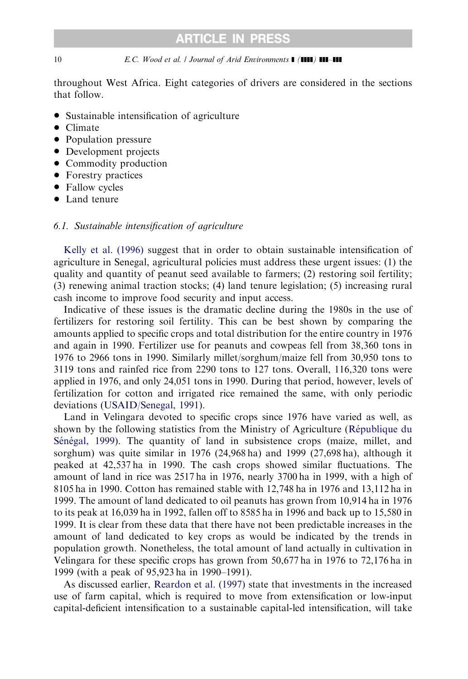throughout West Africa. Eight categories of drivers are considered in the sections that follow.

- Sustainable intensification of agriculture
- Climate
- Population pressure
- Development projects
- Commodity production
- Forestry practices
- Fallow cycles
- Land tenure

#### 6.1. Sustainable intensification of agriculture

[Kelly et al. \(1996\)](#page-17-0) suggest that in order to obtain sustainable intensification of agriculture in Senegal, agricultural policies must address these urgent issues: (1) the quality and quantity of peanut seed available to farmers; (2) restoring soil fertility; (3) renewing animal traction stocks; (4) land tenure legislation; (5) increasing rural cash income to improve food security and input access.

Indicative of these issues is the dramatic decline during the 1980s in the use of fertilizers for restoring soil fertility. This can be best shown by comparing the amounts applied to specific crops and total distribution for the entire country in 1976 and again in 1990. Fertilizer use for peanuts and cowpeas fell from 38,360 tons in 1976 to 2966 tons in 1990. Similarly millet/sorghum/maize fell from 30,950 tons to 3119 tons and rainfed rice from 2290 tons to 127 tons. Overall, 116,320 tons were applied in 1976, and only 24,051 tons in 1990. During that period, however, levels of fertilization for cotton and irrigated rice remained the same, with only periodic deviations ([USAID/Senegal, 1991](#page-18-0)).

Land in Velingara devoted to specific crops since 1976 have varied as well, as shown by the following statistics from the Ministry of Agriculture ([R](#page-17-0)é[publique du](#page-17-0) [S](#page-17-0)é[n](#page-17-0)é[gal, 1999](#page-17-0)). The quantity of land in subsistence crops (maize, millet, and sorghum) was quite similar in 1976 (24,968 ha) and 1999 (27,698 ha), although it peaked at 42,537 ha in 1990. The cash crops showed similar fluctuations. The amount of land in rice was 2517 ha in 1976, nearly 3700 ha in 1999, with a high of 8105 ha in 1990. Cotton has remained stable with 12,748 ha in 1976 and 13,112 ha in 1999. The amount of land dedicated to oil peanuts has grown from 10,914 ha in 1976 to its peak at 16,039 ha in 1992, fallen off to 8585 ha in 1996 and back up to 15,580 in 1999. It is clear from these data that there have not been predictable increases in the amount of land dedicated to key crops as would be indicated by the trends in population growth. Nonetheless, the total amount of land actually in cultivation in Velingara for these specific crops has grown from 50,677 ha in 1976 to 72,176 ha in 1999 (with a peak of 95,923 ha in 1990–1991).

As discussed earlier, [Reardon et al. \(1997\)](#page-17-0) state that investments in the increased use of farm capital, which is required to move from extensification or low-input capital-deficient intensification to a sustainable capital-led intensification, will take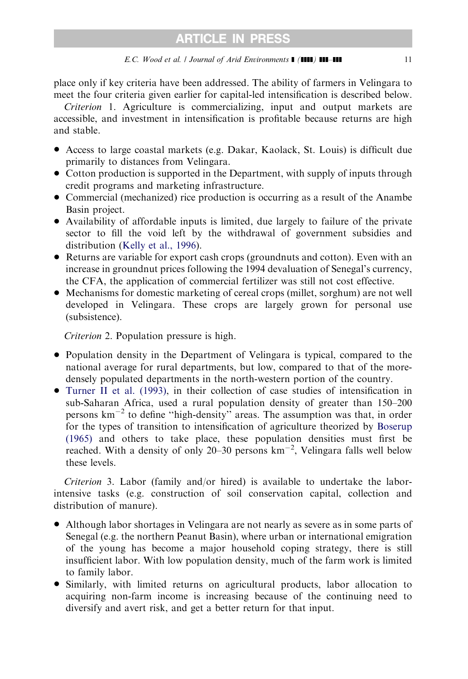place only if key criteria have been addressed. The ability of farmers in Velingara to meet the four criteria given earlier for capital-led intensification is described below.

Criterion 1. Agriculture is commercializing, input and output markets are accessible, and investment in intensification is profitable because returns are high and stable.

- \* Access to large coastal markets (e.g. Dakar, Kaolack, St. Louis) is difficult due primarily to distances from Velingara.
- Cotton production is supported in the Department, with supply of inputs through credit programs and marketing infrastructure.
- Commercial (mechanized) rice production is occurring as a result of the Anambe Basin project.
- Availability of affordable inputs is limited, due largely to failure of the private sector to fill the void left by the withdrawal of government subsidies and distribution [\(Kelly et al., 1996](#page-17-0)).
- Returns are variable for export cash crops (groundnuts and cotton). Even with an increase in groundnut prices following the 1994 devaluation of Senegal's currency, the CFA, the application of commercial fertilizer was still not cost effective.
- Mechanisms for domestic marketing of cereal crops (millet, sorghum) are not well developed in Velingara. These crops are largely grown for personal use (subsistence).

Criterion 2. Population pressure is high.

- Population density in the Department of Velingara is typical, compared to the national average for rural departments, but low, compared to that of the moredensely populated departments in the north-western portion of the country.
- \* [Turner II et al. \(1993\)](#page-18-0), in their collection of case studies of intensification in sub-Saharan Africa, used a rural population density of greater than 150–200 persons  $km^{-2}$  to define "high-density" areas. The assumption was that, in order for the types of transition to intensification of agriculture theorized by [Boserup](#page-16-0) [\(1965\)](#page-16-0) and others to take place, these population densities must first be reached. With a density of only 20–30 persons  $km^{-2}$ , Velingara falls well below these levels.

Criterion 3. Labor (family and/or hired) is available to undertake the laborintensive tasks (e.g. construction of soil conservation capital, collection and distribution of manure).

- \* Although labor shortages in Velingara are not nearly as severe as in some parts of Senegal (e.g. the northern Peanut Basin), where urban or international emigration of the young has become a major household coping strategy, there is still insufficient labor. With low population density, much of the farm work is limited to family labor.
- Similarly, with limited returns on agricultural products, labor allocation to acquiring non-farm income is increasing because of the continuing need to diversify and avert risk, and get a better return for that input.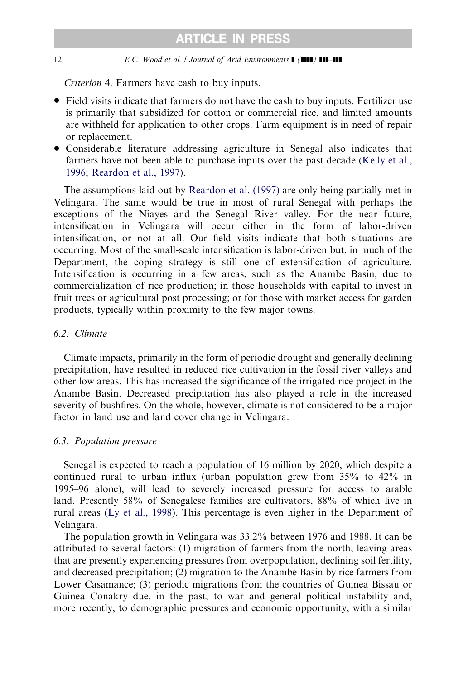#### 12 E.C. Wood et al. *| Journal of Arid Environments*  $\blacksquare$  ( $\blacksquare$ )  $\blacksquare$

Criterion 4. Farmers have cash to buy inputs.

- Field visits indicate that farmers do not have the cash to buy inputs. Fertilizer use is primarily that subsidized for cotton or commercial rice, and limited amounts are withheld for application to other crops. Farm equipment is in need of repair or replacement.
- Considerable literature addressing agriculture in Senegal also indicates that farmers have not been able to purchase inputs over the past decade [\(Kelly et al.,](#page-17-0) [1996;](#page-17-0) [Reardon et al., 1997\)](#page-17-0).

The assumptions laid out by [Reardon et al. \(1997\)](#page-17-0) are only being partially met in Velingara. The same would be true in most of rural Senegal with perhaps the exceptions of the Niayes and the Senegal River valley. For the near future, intensification in Velingara will occur either in the form of labor-driven intensification, or not at all. Our field visits indicate that both situations are occurring. Most of the small-scale intensification is labor-driven but, in much of the Department, the coping strategy is still one of extensification of agriculture. Intensification is occurring in a few areas, such as the Anambe Basin, due to commercialization of rice production; in those households with capital to invest in fruit trees or agricultural post processing; or for those with market access for garden products, typically within proximity to the few major towns.

#### 6.2. Climate

Climate impacts, primarily in the form of periodic drought and generally declining precipitation, have resulted in reduced rice cultivation in the fossil river valleys and other low areas. This has increased the significance of the irrigated rice project in the Anambe Basin. Decreased precipitation has also played a role in the increased severity of bushfires. On the whole, however, climate is not considered to be a major factor in land use and land cover change in Velingara.

#### 6.3. Population pressure

Senegal is expected to reach a population of 16 million by 2020, which despite a continued rural to urban influx (urban population grew from 35% to 42% in 1995–96 alone), will lead to severely increased pressure for access to arable land. Presently 58% of Senegalese families are cultivators, 88% of which live in rural areas ([Ly et al., 1998](#page-17-0)). This percentage is even higher in the Department of Velingara.

The population growth in Velingara was 33.2% between 1976 and 1988. It can be attributed to several factors: (1) migration of farmers from the north, leaving areas that are presently experiencing pressures from overpopulation, declining soil fertility, and decreased precipitation; (2) migration to the Anambe Basin by rice farmers from Lower Casamance; (3) periodic migrations from the countries of Guinea Bissau or Guinea Conakry due, in the past, to war and general political instability and, more recently, to demographic pressures and economic opportunity, with a similar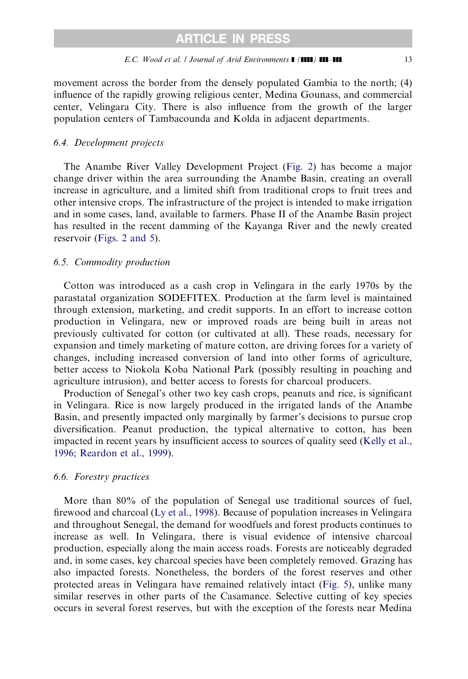movement across the border from the densely populated Gambia to the north; (4) influence of the rapidly growing religious center, Medina Gounass, and commercial center, Velingara City. There is also influence from the growth of the larger population centers of Tambacounda and Kolda in adjacent departments.

#### 6.4. Development projects

The Anambe River Valley Development Project [\(Fig. 2](#page-5-0)) has become a major change driver within the area surrounding the Anambe Basin, creating an overall increase in agriculture, and a limited shift from traditional crops to fruit trees and other intensive crops. The infrastructure of the project is intended to make irrigation and in some cases, land, available to farmers. Phase II of the Anambe Basin project has resulted in the recent damming of the Kayanga River and the newly created reservoir ([Figs. 2 and 5\)](#page-5-0).

#### 6.5. Commodity production

Cotton was introduced as a cash crop in Velingara in the early 1970s by the parastatal organization SODEFITEX. Production at the farm level is maintained through extension, marketing, and credit supports. In an effort to increase cotton production in Velingara, new or improved roads are being built in areas not previously cultivated for cotton (or cultivated at all). These roads, necessary for expansion and timely marketing of mature cotton, are driving forces for a variety of changes, including increased conversion of land into other forms of agriculture, better access to Niokola Koba National Park (possibly resulting in poaching and agriculture intrusion), and better access to forests for charcoal producers.

Production of Senegal's other two key cash crops, peanuts and rice, is significant in Velingara. Rice is now largely produced in the irrigated lands of the Anambe Basin, and presently impacted only marginally by farmer's decisions to pursue crop diversification. Peanut production, the typical alternative to cotton, has been impacted in recent years by insufficient access to sources of quality seed [\(Kelly et al.,](#page-17-0) [1996;](#page-17-0) [Reardon et al., 1999\)](#page-17-0).

#### 6.6. Forestry practices

More than 80% of the population of Senegal use traditional sources of fuel, firewood and charcoal [\(Ly et al., 1998](#page-17-0)). Because of population increases in Velingara and throughout Senegal, the demand for woodfuels and forest products continues to increase as well. In Velingara, there is visual evidence of intensive charcoal production, especially along the main access roads. Forests are noticeably degraded and, in some cases, key charcoal species have been completely removed. Grazing has also impacted forests. Nonetheless, the borders of the forest reserves and other protected areas in Velingara have remained relatively intact ([Fig. 5\)](#page-14-0), unlike many similar reserves in other parts of the Casamance. Selective cutting of key species occurs in several forest reserves, but with the exception of the forests near Medina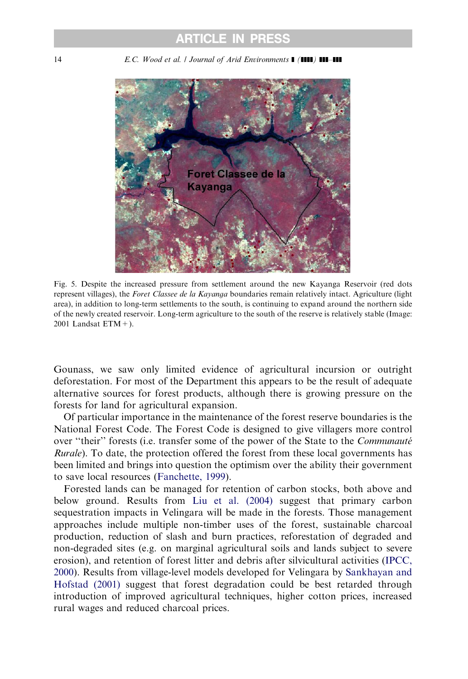<span id="page-14-0"></span>14 E.C. Wood et al. *| Journal of Arid Environments*  $\blacksquare$  ( $\blacksquare$ )  $\blacksquare$ 



Fig. 5. Despite the increased pressure from settlement around the new Kayanga Reservoir (red dots represent villages), the Foret Classee de la Kayanga boundaries remain relatively intact. Agriculture (light area), in addition to long-term settlements to the south, is continuing to expand around the northern side of the newly created reservoir. Long-term agriculture to the south of the reserve is relatively stable (Image: 2001 Landsat  $ETM+$ ).

Gounass, we saw only limited evidence of agricultural incursion or outright deforestation. For most of the Department this appears to be the result of adequate alternative sources for forest products, although there is growing pressure on the forests for land for agricultural expansion.

Of particular importance in the maintenance of the forest reserve boundaries is the National Forest Code. The Forest Code is designed to give villagers more control over "their" forests (i.e. transfer some of the power of the State to the *Communauté* Rurale). To date, the protection offered the forest from these local governments has been limited and brings into question the optimism over the ability their government to save local resources [\(Fanchette, 1999\)](#page-16-0).

Forested lands can be managed for retention of carbon stocks, both above and below ground. Results from [Liu et al. \(2004\)](#page-17-0) suggest that primary carbon sequestration impacts in Velingara will be made in the forests. Those management approaches include multiple non-timber uses of the forest, sustainable charcoal production, reduction of slash and burn practices, reforestation of degraded and non-degraded sites (e.g. on marginal agricultural soils and lands subject to severe erosion), and retention of forest litter and debris after silvicultural activities ([IPCC,](#page-17-0) [2000\)](#page-17-0). Results from village-level models developed for Velingara by [Sankhayan and](#page-17-0) [Hofstad \(2001\)](#page-17-0) suggest that forest degradation could be best retarded through introduction of improved agricultural techniques, higher cotton prices, increased rural wages and reduced charcoal prices.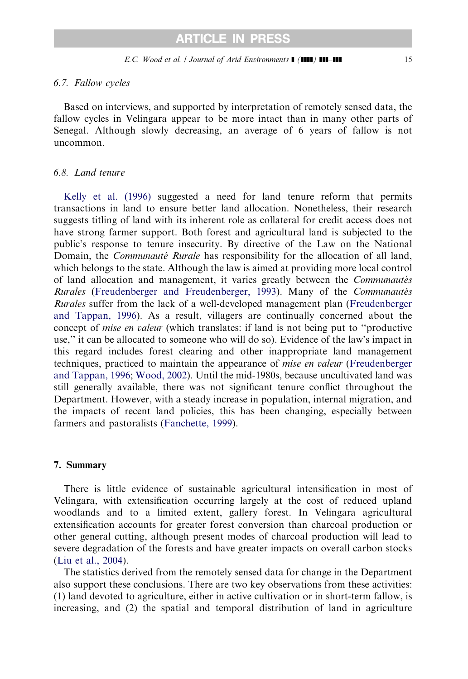#### 6.7. Fallow cycles

Based on interviews, and supported by interpretation of remotely sensed data, the fallow cycles in Velingara appear to be more intact than in many other parts of Senegal. Although slowly decreasing, an average of 6 years of fallow is not uncommon.

#### 6.8. Land tenure

[Kelly et al. \(1996\)](#page-17-0) suggested a need for land tenure reform that permits transactions in land to ensure better land allocation. Nonetheless, their research suggests titling of land with its inherent role as collateral for credit access does not have strong farmer support. Both forest and agricultural land is subjected to the public's response to tenure insecurity. By directive of the Law on the National Domain, the *Communauté Rurale* has responsibility for the allocation of all land, which belongs to the state. Although the law is aimed at providing more local control of land allocation and management, it varies greatly between the *Communauties* Rurales ([Freudenberger and Freudenberger, 1993\)](#page-16-0). Many of the Communautés Rurales suffer from the lack of a well-developed management plan ([Freudenberger](#page-16-0) [and Tappan, 1996\)](#page-16-0). As a result, villagers are continually concerned about the concept of mise en valeur (which translates: if land is not being put to ''productive use,'' it can be allocated to someone who will do so). Evidence of the law's impact in this regard includes forest clearing and other inappropriate land management techniques, practiced to maintain the appearance of mise en valeur ([Freudenberger](#page-16-0) [and Tappan, 1996](#page-16-0); [Wood, 2002](#page-18-0)). Until the mid-1980s, because uncultivated land was still generally available, there was not significant tenure conflict throughout the Department. However, with a steady increase in population, internal migration, and the impacts of recent land policies, this has been changing, especially between farmers and pastoralists ([Fanchette, 1999](#page-16-0)).

#### 7. Summary

There is little evidence of sustainable agricultural intensification in most of Velingara, with extensification occurring largely at the cost of reduced upland woodlands and to a limited extent, gallery forest. In Velingara agricultural extensification accounts for greater forest conversion than charcoal production or other general cutting, although present modes of charcoal production will lead to severe degradation of the forests and have greater impacts on overall carbon stocks [\(Liu et al., 2004\)](#page-17-0).

The statistics derived from the remotely sensed data for change in the Department also support these conclusions. There are two key observations from these activities: (1) land devoted to agriculture, either in active cultivation or in short-term fallow, is increasing, and (2) the spatial and temporal distribution of land in agriculture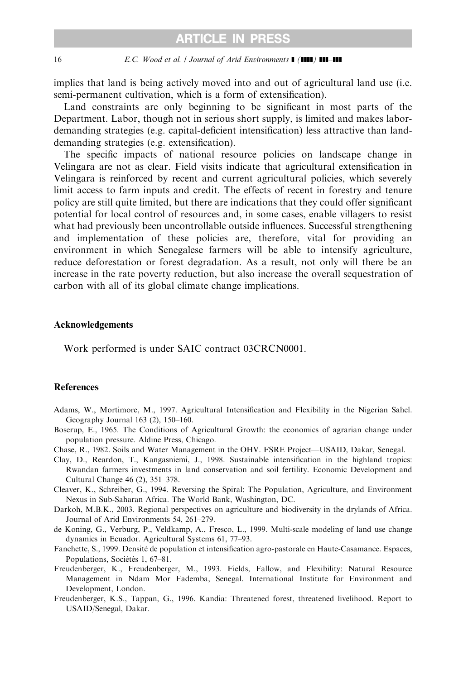<span id="page-16-0"></span>implies that land is being actively moved into and out of agricultural land use (i.e. semi-permanent cultivation, which is a form of extensification).

Land constraints are only beginning to be significant in most parts of the Department. Labor, though not in serious short supply, is limited and makes labordemanding strategies (e.g. capital-deficient intensification) less attractive than landdemanding strategies (e.g. extensification).

The specific impacts of national resource policies on landscape change in Velingara are not as clear. Field visits indicate that agricultural extensification in Velingara is reinforced by recent and current agricultural policies, which severely limit access to farm inputs and credit. The effects of recent in forestry and tenure policy are still quite limited, but there are indications that they could offer significant potential for local control of resources and, in some cases, enable villagers to resist what had previously been uncontrollable outside influences. Successful strengthening and implementation of these policies are, therefore, vital for providing an environment in which Senegalese farmers will be able to intensify agriculture, reduce deforestation or forest degradation. As a result, not only will there be an increase in the rate poverty reduction, but also increase the overall sequestration of carbon with all of its global climate change implications.

#### Acknowledgements

Work performed is under SAIC contract 03CRCN0001.

#### References

- Adams, W., Mortimore, M., 1997. Agricultural Intensification and Flexibility in the Nigerian Sahel. Geography Journal 163 (2), 150–160.
- Boserup, E., 1965. The Conditions of Agricultural Growth: the economics of agrarian change under population pressure. Aldine Press, Chicago.
- Chase, R., 1982. Soils and Water Management in the OHV. FSRE Project—USAID, Dakar, Senegal.
- Clay, D., Reardon, T., Kangasniemi, J., 1998. Sustainable intensification in the highland tropics: Rwandan farmers investments in land conservation and soil fertility. Economic Development and Cultural Change 46 (2), 351–378.
- Cleaver, K., Schreiber, G., 1994. Reversing the Spiral: The Population, Agriculture, and Environment Nexus in Sub-Saharan Africa. The World Bank, Washington, DC.
- Darkoh, M.B.K., 2003. Regional perspectives on agriculture and biodiversity in the drylands of Africa. Journal of Arid Environments 54, 261–279.
- de Koning, G., Verburg, P., Veldkamp, A., Fresco, L., 1999. Multi-scale modeling of land use change dynamics in Ecuador. Agricultural Systems 61, 77–93.
- Fanchette, S., 1999. Densité de population et intensification agro-pastorale en Haute-Casamance. Espaces, Populations, Sociétés 1, 67-81.
- Freudenberger, K., Freudenberger, M., 1993. Fields, Fallow, and Flexibility: Natural Resource Management in Ndam Mor Fademba, Senegal. International Institute for Environment and Development, London.
- Freudenberger, K.S., Tappan, G., 1996. Kandia: Threatened forest, threatened livelihood. Report to USAID/Senegal, Dakar.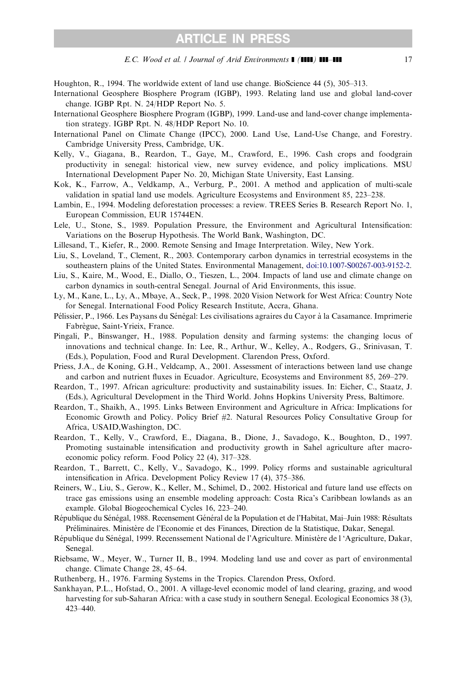<span id="page-17-0"></span>Houghton, R., 1994. The worldwide extent of land use change. BioScience 44 (5), 305–313.

- International Geosphere Biosphere Program (IGBP), 1993. Relating land use and global land-cover change. IGBP Rpt. N. 24/HDP Report No. 5.
- International Geosphere Biosphere Program (IGBP), 1999. Land-use and land-cover change implementation strategy. IGBP Rpt. N. 48/HDP Report No. 10.
- International Panel on Climate Change (IPCC), 2000. Land Use, Land-Use Change, and Forestry. Cambridge University Press, Cambridge, UK.
- Kelly, V., Giagana, B., Reardon, T., Gaye, M., Crawford, E., 1996. Cash crops and foodgrain productivity in senegal: historical view, new survey evidence, and policy implications. MSU International Development Paper No. 20, Michigan State University, East Lansing.
- Kok, K., Farrow, A., Veldkamp, A., Verburg, P., 2001. A method and application of multi-scale validation in spatial land use models. Agriculture Ecosystems and Environment 85, 223–238.
- Lambin, E., 1994. Modeling deforestation processes: a review. TREES Series B. Research Report No. 1, European Commission, EUR 15744EN.
- Lele, U., Stone, S., 1989. Population Pressure, the Environment and Agricultural Intensification: Variations on the Boserup Hypothesis. The World Bank, Washington, DC.
- Lillesand, T., Kiefer, R., 2000. Remote Sensing and Image Interpretation. Wiley, New York.
- Liu, S., Loveland, T., Clement, R., 2003. Contemporary carbon dynamics in terrestrial ecosystems in the southeastern plains of the United States. Environmental Management, [doi:10.1007-S00267-003-9152-2.](10.1007-S00267-003-9152-2)
- Liu, S., Kaire, M., Wood, E., Diallo, O., Tieszen, L., 2004. Impacts of land use and climate change on carbon dynamics in south-central Senegal. Journal of Arid Environments, this issue.
- Ly, M., Kane, L., Ly, A., Mbaye, A., Seck, P., 1998. 2020 Vision Network for West Africa: Country Note for Senegal. International Food Policy Research Institute, Accra, Ghana.
- Pélissier, P., 1966. Les Paysans du Sénégal: Les civilisations agraires du Cayor à la Casamance. Imprimerie Fabrègue, Saint-Yrieix, France.
- Pingali, P., Binswanger, H., 1988. Population density and farming systems: the changing locus of innovations and technical change. In: Lee, R., Arthur, W., Kelley, A., Rodgers, G., Srinivasan, T. (Eds.), Population, Food and Rural Development. Clarendon Press, Oxford.
- Priess, J.A., de Koning, G.H., Veldcamp, A., 2001. Assessment of interactions between land use change and carbon and nutrient fluxes in Ecuador. Agriculture, Ecosystems and Environment 85, 269–279.
- Reardon, T., 1997. African agriculture: productivity and sustainability issues. In: Eicher, C., Staatz, J. (Eds.), Agricultural Development in the Third World. Johns Hopkins University Press, Baltimore.
- Reardon, T., Shaikh, A., 1995. Links Between Environment and Agriculture in Africa: Implications for Economic Growth and Policy. Policy Brief #2. Natural Resources Policy Consultative Group for Africa, USAID,Washington, DC.
- Reardon, T., Kelly, V., Crawford, E., Diagana, B., Dione, J., Savadogo, K., Boughton, D., 1997. Promoting sustainable intensification and productivity growth in Sahel agriculture after macroeconomic policy reform. Food Policy 22 (4), 317–328.
- Reardon, T., Barrett, C., Kelly, V., Savadogo, K., 1999. Policy rforms and sustainable agricultural intensification in Africa. Development Policy Review 17 (4), 375–386.
- Reiners, W., Liu, S., Gerow, K., Keller, M., Schimel, D., 2002. Historical and future land use effects on trace gas emissions using an ensemble modeling approach: Costa Rica's Caribbean lowlands as an example. Global Biogeochemical Cycles 16, 223–240.
- République du Sénégal, 1988. Recensement Général de la Population et de l'Habitat, Mai–Juin 1988: Résultats Préliminaires. Ministère de l'Economie et des Finances, Direction de la Statistique, Dakar, Senegal.
- République du Sénégal, 1999. Recenssement National de l'Agriculture. Ministère de l'Agriculture, Dakar, Senegal.
- Riebsame, W., Meyer, W., Turner II, B., 1994. Modeling land use and cover as part of environmental change. Climate Change 28, 45–64.
- Ruthenberg, H., 1976. Farming Systems in the Tropics. Clarendon Press, Oxford.
- Sankhayan, P.L., Hofstad, O., 2001. A village-level economic model of land clearing, grazing, and wood harvesting for sub-Saharan Africa: with a case study in southern Senegal. Ecological Economics 38 (3), 423–440.